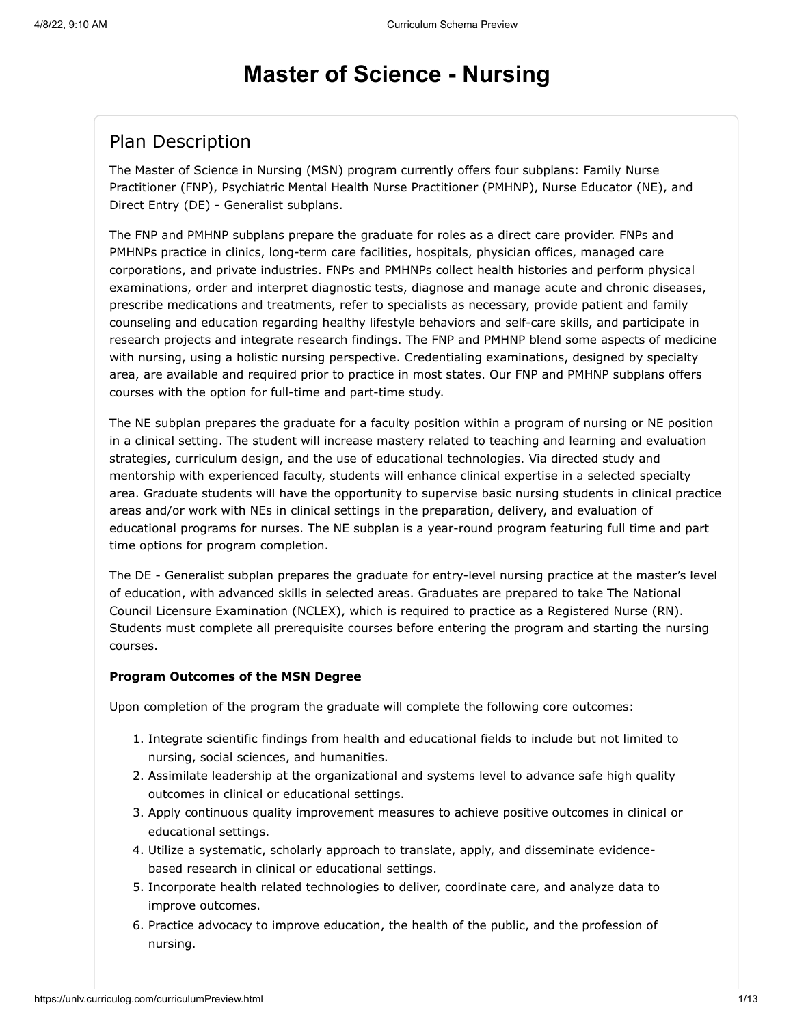# **Master of Science - Nursing**

# Plan Description

The Master of Science in Nursing (MSN) program currently offers four subplans: Family Nurse Practitioner (FNP), Psychiatric Mental Health Nurse Practitioner (PMHNP), Nurse Educator (NE), and Direct Entry (DE) - Generalist subplans.

The FNP and PMHNP subplans prepare the graduate for roles as a direct care provider. FNPs and PMHNPs practice in clinics, long-term care facilities, hospitals, physician offices, managed care corporations, and private industries. FNPs and PMHNPs collect health histories and perform physical examinations, order and interpret diagnostic tests, diagnose and manage acute and chronic diseases, prescribe medications and treatments, refer to specialists as necessary, provide patient and family counseling and education regarding healthy lifestyle behaviors and self-care skills, and participate in research projects and integrate research findings. The FNP and PMHNP blend some aspects of medicine with nursing, using a holistic nursing perspective. Credentialing examinations, designed by specialty area, are available and required prior to practice in most states. Our FNP and PMHNP subplans offers courses with the option for full-time and part-time study.

The NE subplan prepares the graduate for a faculty position within a program of nursing or NE position in a clinical setting. The student will increase mastery related to teaching and learning and evaluation strategies, curriculum design, and the use of educational technologies. Via directed study and mentorship with experienced faculty, students will enhance clinical expertise in a selected specialty area. Graduate students will have the opportunity to supervise basic nursing students in clinical practice areas and/or work with NEs in clinical settings in the preparation, delivery, and evaluation of educational programs for nurses. The NE subplan is a year-round program featuring full time and part time options for program completion.

The DE - Generalist subplan prepares the graduate for entry-level nursing practice at the master's level of education, with advanced skills in selected areas. Graduates are prepared to take The National Council Licensure Examination (NCLEX), which is required to practice as a Registered Nurse (RN). Students must complete all prerequisite courses before entering the program and starting the nursing courses.

#### **Program Outcomes of the MSN Degree**

Upon completion of the program the graduate will complete the following core outcomes:

- 1. Integrate scientific findings from health and educational fields to include but not limited to nursing, social sciences, and humanities.
- 2. Assimilate leadership at the organizational and systems level to advance safe high quality outcomes in clinical or educational settings.
- 3. Apply continuous quality improvement measures to achieve positive outcomes in clinical or educational settings.
- 4. Utilize a systematic, scholarly approach to translate, apply, and disseminate evidencebased research in clinical or educational settings.
- 5. Incorporate health related technologies to deliver, coordinate care, and analyze data to improve outcomes.
- 6. Practice advocacy to improve education, the health of the public, and the profession of nursing.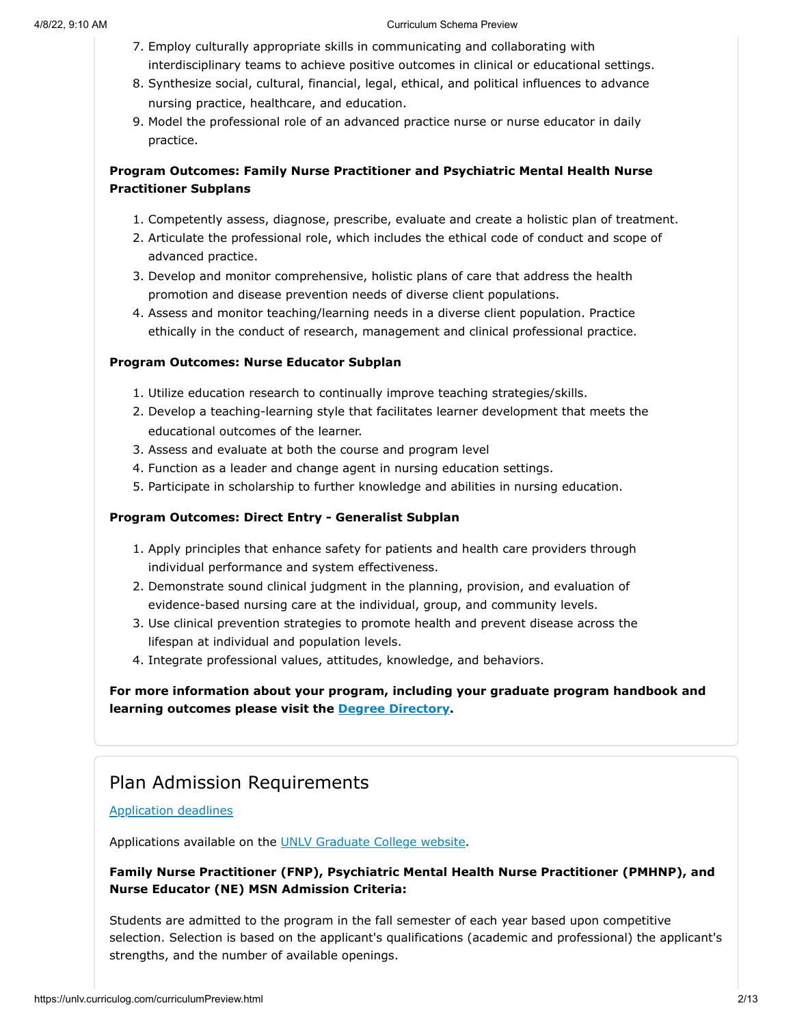- 7. Employ culturally appropriate skills in communicating and collaborating with interdisciplinary teams to achieve positive outcomes in clinical or educational settings.
- 8. Synthesize social, cultural, financial, legal, ethical, and political influences to advance nursing practice, healthcare, and education.
- 9. Model the professional role of an advanced practice nurse or nurse educator in daily practice.

#### **Program Outcomes: Family Nurse Practitioner and Psychiatric Mental Health Nurse Practitioner Subplans**

- 1. Competently assess, diagnose, prescribe, evaluate and create a holistic plan of treatment.
- 2. Articulate the professional role, which includes the ethical code of conduct and scope of advanced practice.
- 3. Develop and monitor comprehensive, holistic plans of care that address the health promotion and disease prevention needs of diverse client populations.
- 4. Assess and monitor teaching/learning needs in a diverse client population. Practice ethically in the conduct of research, management and clinical professional practice.

#### **Program Outcomes: Nurse Educator Subplan**

- 1. Utilize education research to continually improve teaching strategies/skills.
- 2. Develop a teaching-learning style that facilitates learner development that meets the educational outcomes of the learner.
- 3. Assess and evaluate at both the course and program level
- 4. Function as a leader and change agent in nursing education settings.
- 5. Participate in scholarship to further knowledge and abilities in nursing education.

#### **Program Outcomes: Direct Entry - Generalist Subplan**

- 1. Apply principles that enhance safety for patients and health care providers through individual performance and system effectiveness.
- 2. Demonstrate sound clinical judgment in the planning, provision, and evaluation of evidence-based nursing care at the individual, group, and community levels.
- 3. Use clinical prevention strategies to promote health and prevent disease across the lifespan at individual and population levels.
- 4. Integrate professional values, attitudes, knowledge, and behaviors.

**For more information about your program, including your graduate program handbook and learning outcomes please visit the [Degree Directory](https://www.unlv.edu/degree/msn).**

# Plan Admission Requirements

#### [Application deadlines](http://www.unlv.edu/graduatecollege/application-deadlines)

Applications available on the [UNLV Graduate College website.](http://graduatecollege.unlv.edu/admissions/)

#### **Family Nurse Practitioner (FNP), Psychiatric Mental Health Nurse Practitioner (PMHNP), and Nurse Educator (NE) MSN Admission Criteria:**

Students are admitted to the program in the fall semester of each year based upon competitive selection. Selection is based on the applicant's qualifications (academic and professional) the applicant's strengths, and the number of available openings.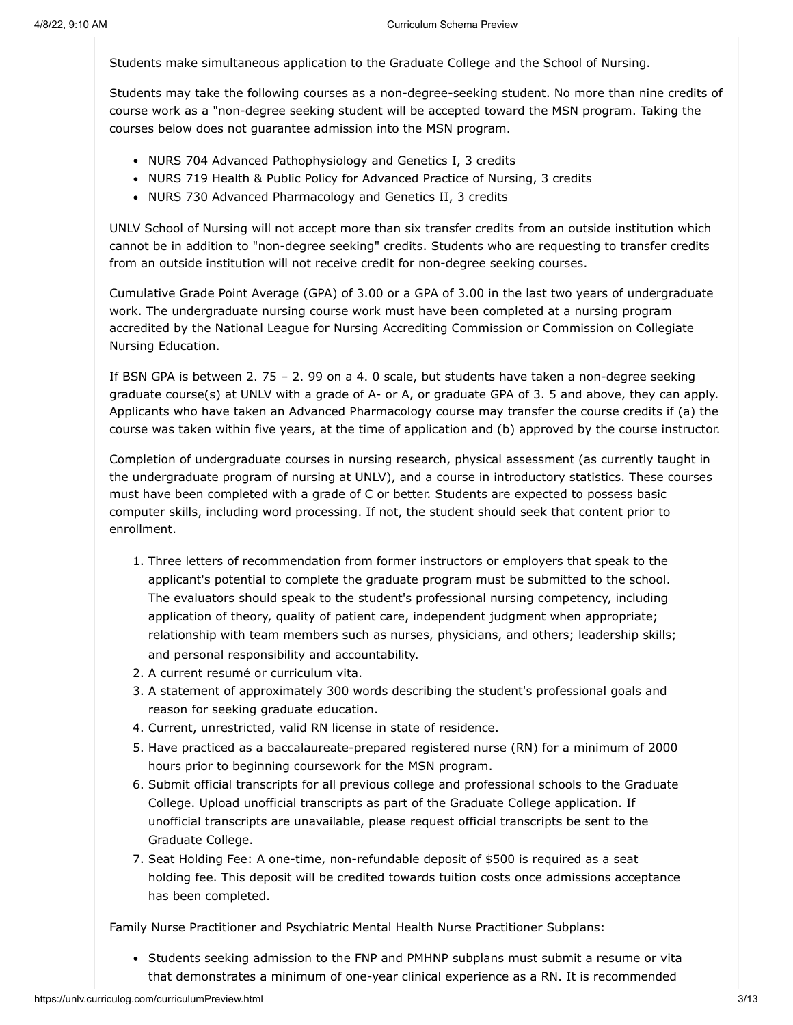Students make simultaneous application to the Graduate College and the School of Nursing.

Students may take the following courses as a non-degree-seeking student. No more than nine credits of course work as a "non-degree seeking student will be accepted toward the MSN program. Taking the courses below does not guarantee admission into the MSN program.

- NURS 704 Advanced Pathophysiology and Genetics I, 3 credits
- NURS 719 Health & Public Policy for Advanced Practice of Nursing, 3 credits
- NURS 730 Advanced Pharmacology and Genetics II, 3 credits

UNLV School of Nursing will not accept more than six transfer credits from an outside institution which cannot be in addition to "non-degree seeking" credits. Students who are requesting to transfer credits from an outside institution will not receive credit for non-degree seeking courses.

Cumulative Grade Point Average (GPA) of 3.00 or a GPA of 3.00 in the last two years of undergraduate work. The undergraduate nursing course work must have been completed at a nursing program accredited by the National League for Nursing Accrediting Commission or Commission on Collegiate Nursing Education.

If BSN GPA is between 2. 75 – 2. 99 on a 4. 0 scale, but students have taken a non-degree seeking graduate course(s) at UNLV with a grade of A- or A, or graduate GPA of 3. 5 and above, they can apply. Applicants who have taken an Advanced Pharmacology course may transfer the course credits if (a) the course was taken within five years, at the time of application and (b) approved by the course instructor.

Completion of undergraduate courses in nursing research, physical assessment (as currently taught in the undergraduate program of nursing at UNLV), and a course in introductory statistics. These courses must have been completed with a grade of C or better. Students are expected to possess basic computer skills, including word processing. If not, the student should seek that content prior to enrollment.

- 1. Three letters of recommendation from former instructors or employers that speak to the applicant's potential to complete the graduate program must be submitted to the school. The evaluators should speak to the student's professional nursing competency, including application of theory, quality of patient care, independent judgment when appropriate; relationship with team members such as nurses, physicians, and others; leadership skills; and personal responsibility and accountability.
- 2. A current resumé or curriculum vita.
- 3. A statement of approximately 300 words describing the student's professional goals and reason for seeking graduate education.
- 4. Current, unrestricted, valid RN license in state of residence.
- 5. Have practiced as a baccalaureate-prepared registered nurse (RN) for a minimum of 2000 hours prior to beginning coursework for the MSN program.
- 6. Submit official transcripts for all previous college and professional schools to the Graduate College. Upload unofficial transcripts as part of the Graduate College application. If unofficial transcripts are unavailable, please request official transcripts be sent to the Graduate College.
- 7. Seat Holding Fee: A one-time, non-refundable deposit of \$500 is required as a seat holding fee. This deposit will be credited towards tuition costs once admissions acceptance has been completed.

Family Nurse Practitioner and Psychiatric Mental Health Nurse Practitioner Subplans:

• Students seeking admission to the FNP and PMHNP subplans must submit a resume or vita that demonstrates a minimum of one-year clinical experience as a RN. It is recommended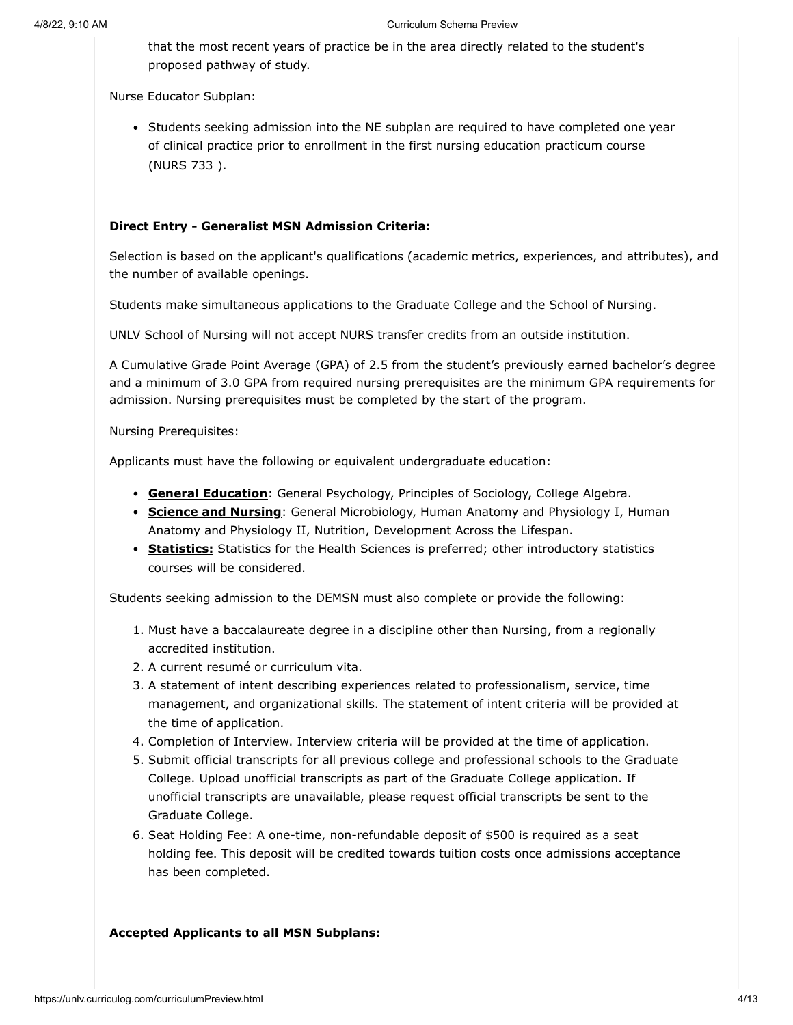that the most recent years of practice be in the area directly related to the student's proposed pathway of study.

Nurse Educator Subplan:

• Students seeking admission into the NE subplan are required to have completed one year of clinical practice prior to enrollment in the first nursing education practicum course (NURS 733 ).

#### **Direct Entry - Generalist MSN Admission Criteria:**

Selection is based on the applicant's qualifications (academic metrics, experiences, and attributes), and the number of available openings.

Students make simultaneous applications to the Graduate College and the School of Nursing.

UNLV School of Nursing will not accept NURS transfer credits from an outside institution.

A Cumulative Grade Point Average (GPA) of 2.5 from the student's previously earned bachelor's degree and a minimum of 3.0 GPA from required nursing prerequisites are the minimum GPA requirements for admission. Nursing prerequisites must be completed by the start of the program.

Nursing Prerequisites:

Applicants must have the following or equivalent undergraduate education:

- **General Education**: General Psychology, Principles of Sociology, College Algebra.
- **Science and Nursing**: General Microbiology, Human Anatomy and Physiology I, Human Anatomy and Physiology II, Nutrition, Development Across the Lifespan.
- **Statistics:** Statistics for the Health Sciences is preferred; other introductory statistics courses will be considered.

Students seeking admission to the DEMSN must also complete or provide the following:

- 1. Must have a baccalaureate degree in a discipline other than Nursing, from a regionally accredited institution.
- 2. A current resumé or curriculum vita.
- 3. A statement of intent describing experiences related to professionalism, service, time management, and organizational skills. The statement of intent criteria will be provided at the time of application.
- 4. Completion of Interview. Interview criteria will be provided at the time of application.
- 5. Submit official transcripts for all previous college and professional schools to the Graduate College. Upload unofficial transcripts as part of the Graduate College application. If unofficial transcripts are unavailable, please request official transcripts be sent to the Graduate College.
- 6. Seat Holding Fee: A one-time, non-refundable deposit of \$500 is required as a seat holding fee. This deposit will be credited towards tuition costs once admissions acceptance has been completed.

#### **Accepted Applicants to all MSN Subplans:**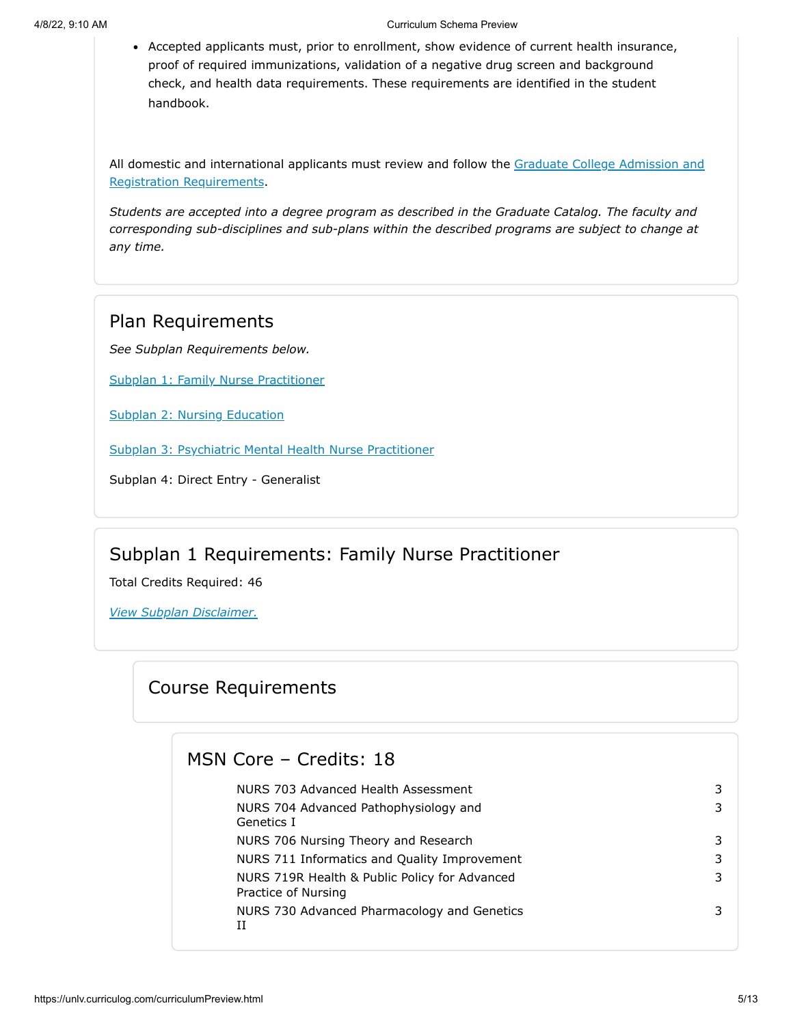Accepted applicants must, prior to enrollment, show evidence of current health insurance, proof of required immunizations, validation of a negative drug screen and background check, and health data requirements. These requirements are identified in the student handbook.

[All domestic and international applicants must review and follow the Graduate College Admission and](http://www.unlv.edu/graduatecollege/futurestudents) Registration Requirements.

*Students are accepted into a degree program as described in the Graduate Catalog. The faculty and corresponding sub-disciplines and sub-plans within the described programs are subject to change at any time.*

## Plan Requirements

*See Subplan Requirements below.*

[Subplan 1: Family Nurse Practitioner](#page-4-0)

[Subplan 2: Nursing Education](#page-6-0)

[Subplan 3: Psychiatric Mental Health Nurse Practitioner](#page-7-0)

Subplan 4: Direct Entry - Generalist

# Subplan 1 Requirements: Family Nurse Practitioner

<span id="page-4-0"></span>Total Credits Required: 46

*View Subplan Disclaimer.*

# Course Requirements

## MSN Core – Credits: 18

NURS 703 Advanced Health Assessment 3 NURS 704 Advanced Pathophysiology and Genetics I 3 NURS 706 Nursing Theory and Research 3 NURS 711 Informatics and Quality Improvement 3 NURS 719R Health & Public Policy for Advanced Practice of Nursing 3 NURS 730 Advanced Pharmacology and Genetics II 3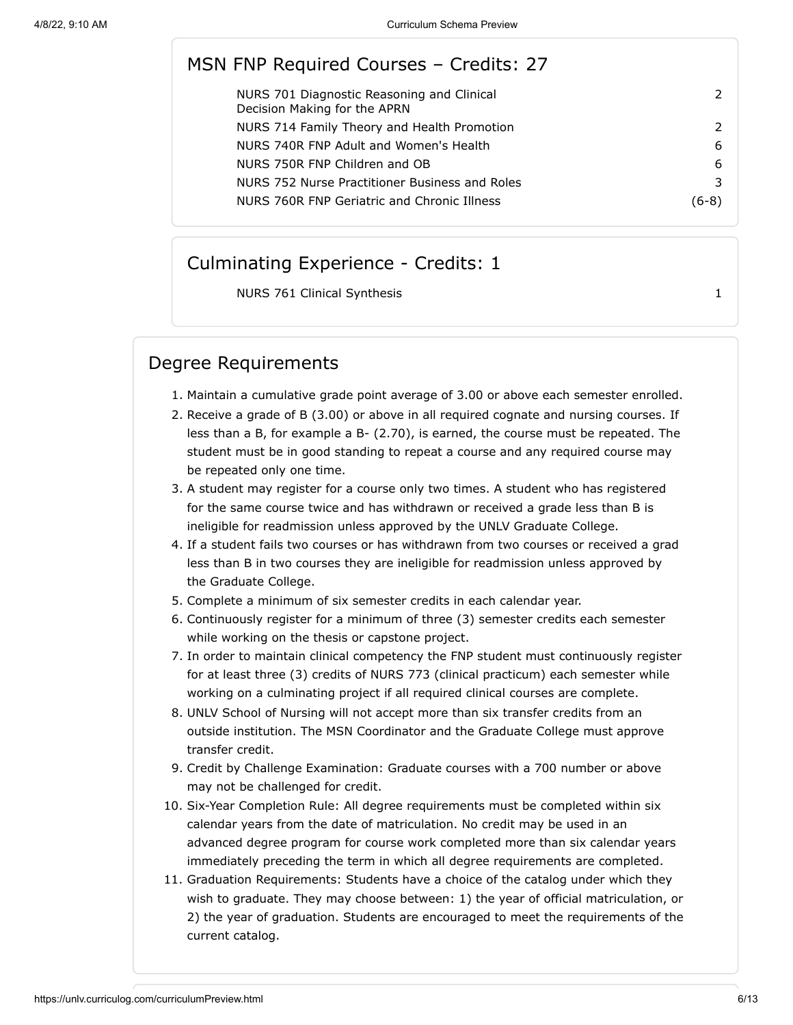# MSN FNP Required Courses – Credits: 27

| NURS 701 Diagnostic Reasoning and Clinical<br>Decision Making for the APRN |      |
|----------------------------------------------------------------------------|------|
| NURS 714 Family Theory and Health Promotion                                |      |
| NURS 740R FNP Adult and Women's Health                                     | 6    |
| NURS 750R FNP Children and OB                                              | 6    |
| NURS 752 Nurse Practitioner Business and Roles                             |      |
| NURS 760R FNP Geriatric and Chronic Illness                                | 6-81 |
|                                                                            |      |

### Culminating Experience - Credits: 1

NURS 761 Clinical Synthesis 1

# Degree Requirements

- 1. Maintain a cumulative grade point average of 3.00 or above each semester enrolled.
- 2. Receive a grade of B (3.00) or above in all required cognate and nursing courses. If less than a B, for example a B- (2.70), is earned, the course must be repeated. The student must be in good standing to repeat a course and any required course may be repeated only one time.
- 3. A student may register for a course only two times. A student who has registered for the same course twice and has withdrawn or received a grade less than B is ineligible for readmission unless approved by the UNLV Graduate College.
- 4. If a student fails two courses or has withdrawn from two courses or received a grad less than B in two courses they are ineligible for readmission unless approved by the Graduate College.
- 5. Complete a minimum of six semester credits in each calendar year.
- 6. Continuously register for a minimum of three (3) semester credits each semester while working on the thesis or capstone project.
- 7. In order to maintain clinical competency the FNP student must continuously register for at least three (3) credits of NURS 773 (clinical practicum) each semester while working on a culminating project if all required clinical courses are complete.
- 8. UNLV School of Nursing will not accept more than six transfer credits from an outside institution. The MSN Coordinator and the Graduate College must approve transfer credit.
- 9. Credit by Challenge Examination: Graduate courses with a 700 number or above may not be challenged for credit.
- 10. Six-Year Completion Rule: All degree requirements must be completed within six calendar years from the date of matriculation. No credit may be used in an advanced degree program for course work completed more than six calendar years immediately preceding the term in which all degree requirements are completed.
- 11. Graduation Requirements: Students have a choice of the catalog under which they wish to graduate. They may choose between: 1) the year of official matriculation, or 2) the year of graduation. Students are encouraged to meet the requirements of the current catalog.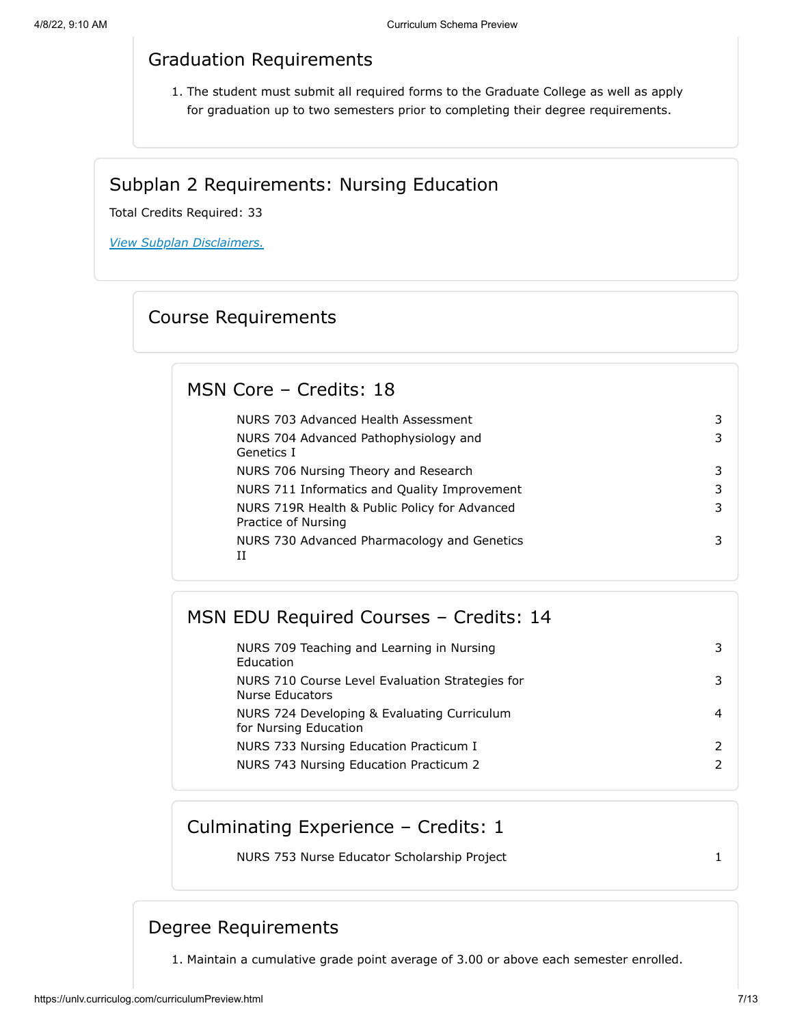# Graduation Requirements

1. The student must submit all required forms to the Graduate College as well as apply for graduation up to two semesters prior to completing their degree requirements.

## Subplan 2 Requirements: Nursing Education

<span id="page-6-0"></span>Total Credits Required: 33

*View Subplan Disclaimers.*

# Course Requirements

# MSN Core – Credits: 18

| NURS 703 Advanced Health Assessment                                  | 3 |
|----------------------------------------------------------------------|---|
| NURS 704 Advanced Pathophysiology and<br>Genetics I                  | 3 |
| NURS 706 Nursing Theory and Research                                 | 3 |
| NURS 711 Informatics and Quality Improvement                         | 3 |
| NURS 719R Health & Public Policy for Advanced<br>Practice of Nursing | 3 |
| NURS 730 Advanced Pharmacology and Genetics<br>TΤ                    | 3 |

# MSN EDU Required Courses – Credits: 14

| NURS 709 Teaching and Learning in Nursing<br>Education               |  |
|----------------------------------------------------------------------|--|
| NURS 710 Course Level Evaluation Strategies for<br>Nurse Educators   |  |
| NURS 724 Developing & Evaluating Curriculum<br>for Nursing Education |  |
| NURS 733 Nursing Education Practicum I                               |  |
| NURS 743 Nursing Education Practicum 2                               |  |
|                                                                      |  |

# Culminating Experience – Credits: 1

NURS 753 Nurse Educator Scholarship Project 1 1

# Degree Requirements

1. Maintain a cumulative grade point average of 3.00 or above each semester enrolled.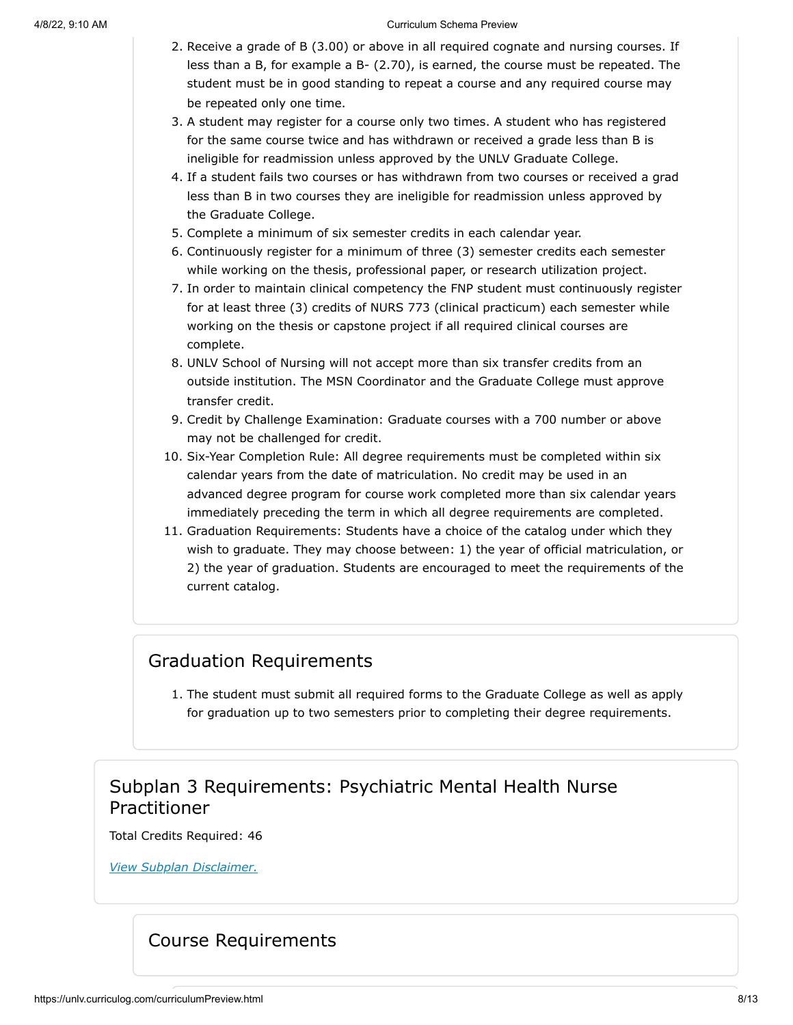- 2. Receive a grade of B (3.00) or above in all required cognate and nursing courses. If less than a B, for example a B- (2.70), is earned, the course must be repeated. The student must be in good standing to repeat a course and any required course may be repeated only one time.
- 3. A student may register for a course only two times. A student who has registered for the same course twice and has withdrawn or received a grade less than B is ineligible for readmission unless approved by the UNLV Graduate College.
- 4. If a student fails two courses or has withdrawn from two courses or received a grad less than B in two courses they are ineligible for readmission unless approved by the Graduate College.
- 5. Complete a minimum of six semester credits in each calendar year.
- 6. Continuously register for a minimum of three (3) semester credits each semester while working on the thesis, professional paper, or research utilization project.
- 7. In order to maintain clinical competency the FNP student must continuously register for at least three (3) credits of NURS 773 (clinical practicum) each semester while working on the thesis or capstone project if all required clinical courses are complete.
- 8. UNLV School of Nursing will not accept more than six transfer credits from an outside institution. The MSN Coordinator and the Graduate College must approve transfer credit.
- 9. Credit by Challenge Examination: Graduate courses with a 700 number or above may not be challenged for credit.
- 10. Six-Year Completion Rule: All degree requirements must be completed within six calendar years from the date of matriculation. No credit may be used in an advanced degree program for course work completed more than six calendar years immediately preceding the term in which all degree requirements are completed.
- 11. Graduation Requirements: Students have a choice of the catalog under which they wish to graduate. They may choose between: 1) the year of official matriculation, or 2) the year of graduation. Students are encouraged to meet the requirements of the current catalog.

# Graduation Requirements

1. The student must submit all required forms to the Graduate College as well as apply for graduation up to two semesters prior to completing their degree requirements.

# Subplan 3 Requirements: Psychiatric Mental Health Nurse Practitioner

<span id="page-7-0"></span>Total Credits Required: 46

*View Subplan Disclaimer.*

# Course Requirements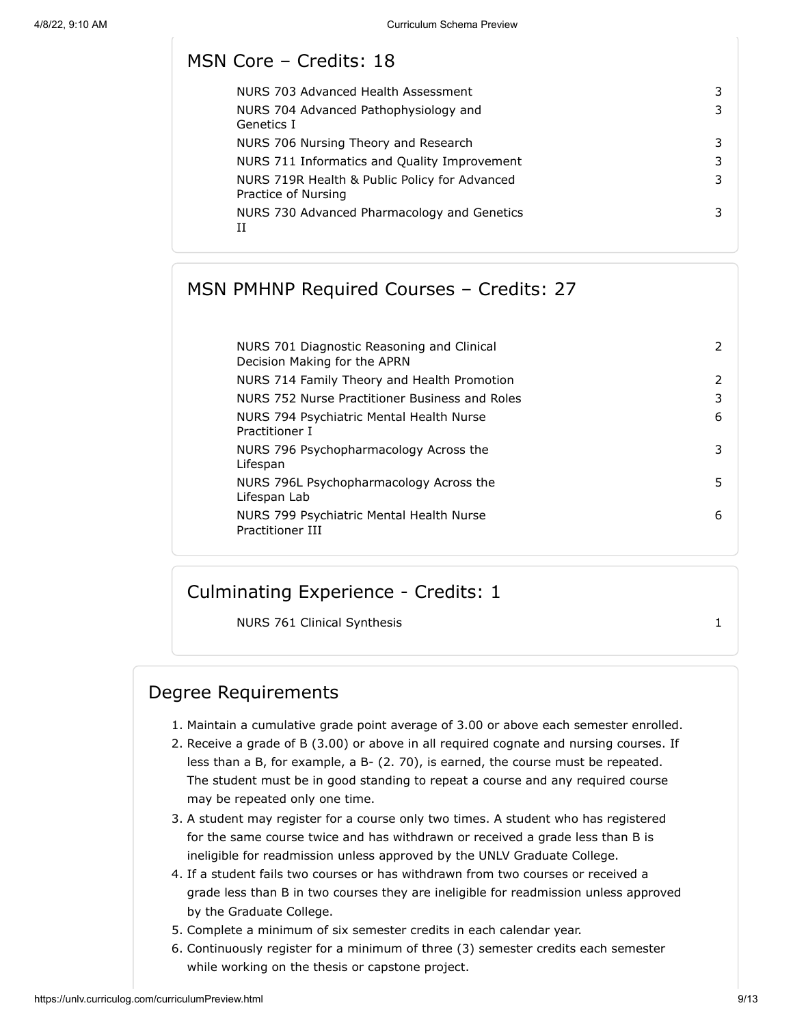## MSN Core – Credits: 18

| NURS 703 Advanced Health Assessment                                  | 3 |
|----------------------------------------------------------------------|---|
| NURS 704 Advanced Pathophysiology and<br>Genetics I                  | 3 |
| NURS 706 Nursing Theory and Research                                 | 3 |
| NURS 711 Informatics and Quality Improvement                         | 3 |
| NURS 719R Health & Public Policy for Advanced<br>Practice of Nursing | 3 |
| NURS 730 Advanced Pharmacology and Genetics<br>TΤ                    | 3 |
|                                                                      |   |

# MSN PMHNP Required Courses – Credits: 27

| NURS 701 Diagnostic Reasoning and Clinical<br>Decision Making for the APRN | 2             |
|----------------------------------------------------------------------------|---------------|
| NURS 714 Family Theory and Health Promotion                                | $\mathcal{P}$ |
| NURS 752 Nurse Practitioner Business and Roles                             | 3             |
| NURS 794 Psychiatric Mental Health Nurse<br>Practitioner I                 | 6             |
| NURS 796 Psychopharmacology Across the<br>Lifespan                         | 3             |
| NURS 796L Psychopharmacology Across the<br>Lifespan Lab                    | 5.            |
| NURS 799 Psychiatric Mental Health Nurse<br>Practitioner III               | 6             |

# Culminating Experience - Credits: 1

NURS 761 Clinical Synthesis 1

## Degree Requirements

- 1. Maintain a cumulative grade point average of 3.00 or above each semester enrolled.
- 2. Receive a grade of B (3.00) or above in all required cognate and nursing courses. If less than a B, for example, a B- (2. 70), is earned, the course must be repeated. The student must be in good standing to repeat a course and any required course may be repeated only one time.
- 3. A student may register for a course only two times. A student who has registered for the same course twice and has withdrawn or received a grade less than B is ineligible for readmission unless approved by the UNLV Graduate College.
- 4. If a student fails two courses or has withdrawn from two courses or received a grade less than B in two courses they are ineligible for readmission unless approved by the Graduate College.
- 5. Complete a minimum of six semester credits in each calendar year.
- 6. Continuously register for a minimum of three (3) semester credits each semester while working on the thesis or capstone project.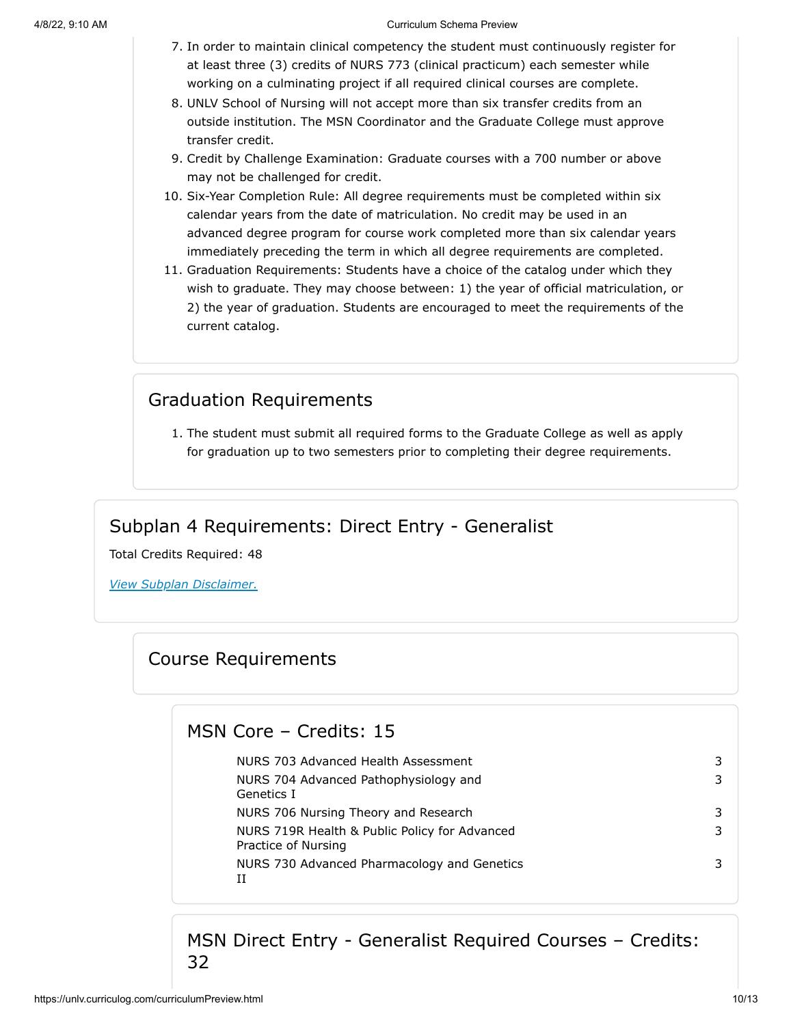- 7. In order to maintain clinical competency the student must continuously register for at least three (3) credits of NURS 773 (clinical practicum) each semester while working on a culminating project if all required clinical courses are complete.
- 8. UNLV School of Nursing will not accept more than six transfer credits from an outside institution. The MSN Coordinator and the Graduate College must approve transfer credit.
- 9. Credit by Challenge Examination: Graduate courses with a 700 number or above may not be challenged for credit.
- 10. Six-Year Completion Rule: All degree requirements must be completed within six calendar years from the date of matriculation. No credit may be used in an advanced degree program for course work completed more than six calendar years immediately preceding the term in which all degree requirements are completed.
- 11. Graduation Requirements: Students have a choice of the catalog under which they wish to graduate. They may choose between: 1) the year of official matriculation, or 2) the year of graduation. Students are encouraged to meet the requirements of the current catalog.

# Graduation Requirements

1. The student must submit all required forms to the Graduate College as well as apply for graduation up to two semesters prior to completing their degree requirements.

## Subplan 4 Requirements: Direct Entry - Generalist

Total Credits Required: 48

*View Subplan Disclaimer.*

# Course Requirements

## MSN Core – Credits: 15

| 3 |
|---|
| 3 |
| 3 |
| 3 |
| 3 |
|   |

MSN Direct Entry - Generalist Required Courses – Credits: 32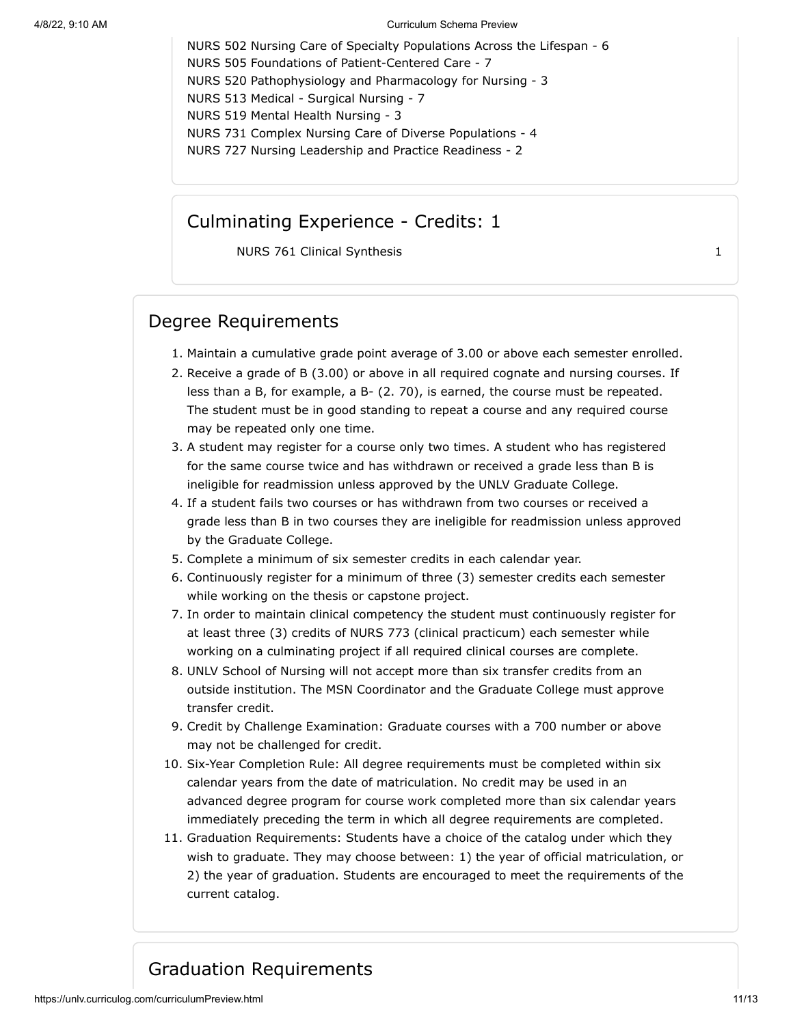NURS 502 Nursing Care of Specialty Populations Across the Lifespan - 6 NURS 505 Foundations of Patient-Centered Care - 7 NURS 520 Pathophysiology and Pharmacology for Nursing - 3 NURS 513 Medical - Surgical Nursing - 7 NURS 519 Mental Health Nursing - 3 NURS 731 Complex Nursing Care of Diverse Populations - 4 NURS 727 Nursing Leadership and Practice Readiness - 2

## Culminating Experience - Credits: 1

NURS 761 Clinical Synthesis 1

# Degree Requirements

- 1. Maintain a cumulative grade point average of 3.00 or above each semester enrolled.
- 2. Receive a grade of B (3.00) or above in all required cognate and nursing courses. If less than a B, for example, a B- (2. 70), is earned, the course must be repeated. The student must be in good standing to repeat a course and any required course may be repeated only one time.
- 3. A student may register for a course only two times. A student who has registered for the same course twice and has withdrawn or received a grade less than B is ineligible for readmission unless approved by the UNLV Graduate College.
- 4. If a student fails two courses or has withdrawn from two courses or received a grade less than B in two courses they are ineligible for readmission unless approved by the Graduate College.
- 5. Complete a minimum of six semester credits in each calendar year.
- 6. Continuously register for a minimum of three (3) semester credits each semester while working on the thesis or capstone project.
- 7. In order to maintain clinical competency the student must continuously register for at least three (3) credits of NURS 773 (clinical practicum) each semester while working on a culminating project if all required clinical courses are complete.
- 8. UNLV School of Nursing will not accept more than six transfer credits from an outside institution. The MSN Coordinator and the Graduate College must approve transfer credit.
- 9. Credit by Challenge Examination: Graduate courses with a 700 number or above may not be challenged for credit.
- 10. Six-Year Completion Rule: All degree requirements must be completed within six calendar years from the date of matriculation. No credit may be used in an advanced degree program for course work completed more than six calendar years immediately preceding the term in which all degree requirements are completed.
- 11. Graduation Requirements: Students have a choice of the catalog under which they wish to graduate. They may choose between: 1) the year of official matriculation, or 2) the year of graduation. Students are encouraged to meet the requirements of the current catalog.

# Graduation Requirements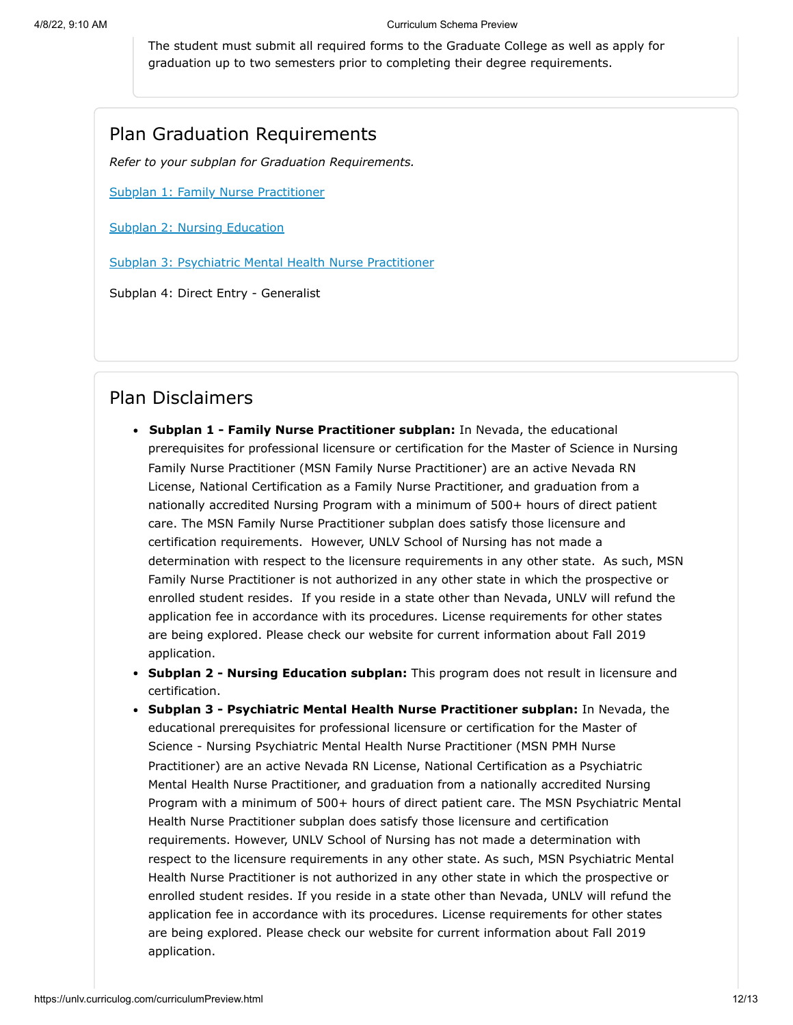The student must submit all required forms to the Graduate College as well as apply for graduation up to two semesters prior to completing their degree requirements.

## Plan Graduation Requirements

*Refer to your subplan for Graduation Requirements.*

[Subplan 1: Family Nurse Practitioner](#page-4-0)

[Subplan 2: Nursing Education](#page-6-0)

[Subplan 3: Psychiatric Mental Health Nurse Practitioner](#page-7-0)

Subplan 4: Direct Entry - Generalist

### Plan Disclaimers

- **Subplan 1 - Family Nurse Practitioner subplan:** In Nevada, the educational prerequisites for professional licensure or certification for the Master of Science in Nursing Family Nurse Practitioner (MSN Family Nurse Practitioner) are an active Nevada RN License, National Certification as a Family Nurse Practitioner, and graduation from a nationally accredited Nursing Program with a minimum of 500+ hours of direct patient care. The MSN Family Nurse Practitioner subplan does satisfy those licensure and certification requirements. However, UNLV School of Nursing has not made a determination with respect to the licensure requirements in any other state. As such, MSN Family Nurse Practitioner is not authorized in any other state in which the prospective or enrolled student resides. If you reside in a state other than Nevada, UNLV will refund the application fee in accordance with its procedures. License requirements for other states are being explored. Please check our website for current information about Fall 2019 application.
- **Subplan 2 Nursing Education subplan:** This program does not result in licensure and certification.
- **Subplan 3 - Psychiatric Mental Health Nurse Practitioner subplan:** In Nevada, the educational prerequisites for professional licensure or certification for the Master of Science - Nursing Psychiatric Mental Health Nurse Practitioner (MSN PMH Nurse Practitioner) are an active Nevada RN License, National Certification as a Psychiatric Mental Health Nurse Practitioner, and graduation from a nationally accredited Nursing Program with a minimum of 500+ hours of direct patient care. The MSN Psychiatric Mental Health Nurse Practitioner subplan does satisfy those licensure and certification requirements. However, UNLV School of Nursing has not made a determination with respect to the licensure requirements in any other state. As such, MSN Psychiatric Mental Health Nurse Practitioner is not authorized in any other state in which the prospective or enrolled student resides. If you reside in a state other than Nevada, UNLV will refund the application fee in accordance with its procedures. License requirements for other states are being explored. Please check our website for current information about Fall 2019 application.